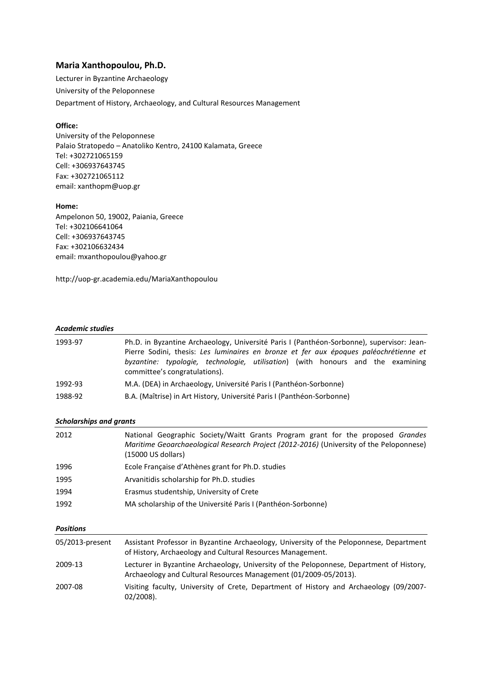# **Maria Xanthopoulou, Ph.D.**

Lecturer in Byzantine Archaeology University of the Peloponnese Department of History, Archaeology, and Cultural Resources Management

## **Office:**

University of the Peloponnese Palaio Stratopedo – Anatoliko Kentro, 24100 Kalamata, Greece Tel: +302721065159 Cell: +306937643745 Fax: +302721065112 email: xanthopm@uop.gr

#### **Home:**

Ampelonon 50, 19002, Paiania, Greece Tel: +302106641064 Cell: +306937643745 Fax: +302106632434 email: mxanthopoulou@yahoo.gr

http://uop-gr.academia.edu/MariaXanthopoulou

#### *Academic studies*

| 1993-97 | Ph.D. in Byzantine Archaeology, Université Paris I (Panthéon-Sorbonne), supervisor: Jean-<br>Pierre Sodini, thesis: Les luminaires en bronze et fer aux époques paléochrétienne et<br>byzantine: typologie, technologie, utilisation) (with honours and the examining<br>committee's congratulations). |
|---------|--------------------------------------------------------------------------------------------------------------------------------------------------------------------------------------------------------------------------------------------------------------------------------------------------------|
| 1992-93 | M.A. (DEA) in Archaeology, Université Paris I (Panthéon-Sorbonne)                                                                                                                                                                                                                                      |
| 1988-92 | B.A. (Maîtrise) in Art History, Université Paris I (Panthéon-Sorbonne)                                                                                                                                                                                                                                 |

## *Scholarships and grants*

| 2012 | National Geographic Society/Waitt Grants Program grant for the proposed Grandes<br>Maritime Geoarchaeological Research Project (2012-2016) (University of the Peloponnese)<br>(15000 US dollars) |
|------|--------------------------------------------------------------------------------------------------------------------------------------------------------------------------------------------------|
| 1996 | Ecole Française d'Athènes grant for Ph.D. studies                                                                                                                                                |
| 1995 | Arvanitidis scholarship for Ph.D. studies                                                                                                                                                        |
| 1994 | Erasmus studentship, University of Crete                                                                                                                                                         |
| 1992 | MA scholarship of the Université Paris I (Panthéon-Sorbonne)                                                                                                                                     |
|      |                                                                                                                                                                                                  |

## *Positions*

| 05/2013-present | Assistant Professor in Byzantine Archaeology, University of the Peloponnese, Department<br>of History, Archaeology and Cultural Resources Management.        |
|-----------------|--------------------------------------------------------------------------------------------------------------------------------------------------------------|
| 2009-13         | Lecturer in Byzantine Archaeology, University of the Peloponnese, Department of History,<br>Archaeology and Cultural Resources Management (01/2009-05/2013). |
| 2007-08         | Visiting faculty, University of Crete, Department of History and Archaeology (09/2007-<br>$02/2008$ ).                                                       |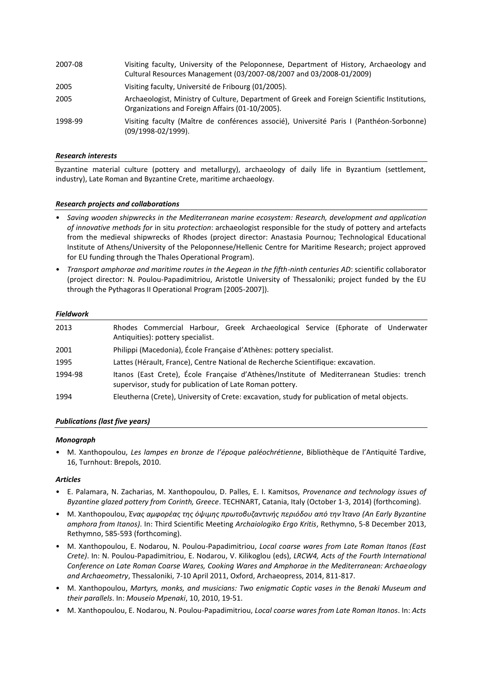| 2007-08 | Visiting faculty, University of the Peloponnese, Department of History, Archaeology and<br>Cultural Resources Management (03/2007-08/2007 and 03/2008-01/2009) |
|---------|----------------------------------------------------------------------------------------------------------------------------------------------------------------|
| 2005    | Visiting faculty, Université de Fribourg (01/2005).                                                                                                            |
| 2005    | Archaeologist, Ministry of Culture, Department of Greek and Foreign Scientific Institutions,<br>Organizations and Foreign Affairs (01-10/2005).                |
| 1998-99 | Visiting faculty (Maître de conférences associé), Université Paris I (Panthéon-Sorbonne)<br>$(09/1998-02/1999).$                                               |

### *Research interests*

Byzantine material culture (pottery and metallurgy), archaeology of daily life in Byzantium (settlement, industry), Late Roman and Byzantine Crete, maritime archaeology.

#### *Research projects and collaborations*

- *Saving wooden shipwrecks in the Mediterranean marine ecosystem: Research, development and application of innovative methods for* in situ *protection*: archaeologist responsible for the study of pottery and artefacts from the medieval shipwrecks of Rhodes (project director: Anastasia Pournou; Technological Educational Institute of Athens/University of the Peloponnese/Hellenic Centre for Maritime Research; project approved for EU funding through the Thales Operational Program).
- *Transport amphorae and maritime routes in the Aegean in the fifth-ninth centuries AD*: scientific collaborator (project director: N. Poulou-Papadimitriou, Aristotle University of Thessaloniki; project funded by the EU through the Pythagoras II Operational Program [2005-2007]).

#### *Fieldwork*

| 2013    | Rhodes Commercial Harbour, Greek Archaeological Service (Ephorate of Underwater<br>Antiquities): pottery specialist.                                  |
|---------|-------------------------------------------------------------------------------------------------------------------------------------------------------|
| 2001    | Philippi (Macedonia), École Française d'Athènes: pottery specialist.                                                                                  |
| 1995    | Lattes (Hérault, France), Centre National de Recherche Scientifique: excavation.                                                                      |
| 1994-98 | Itanos (East Crete), École Française d'Athènes/Institute of Mediterranean Studies: trench<br>supervisor, study for publication of Late Roman pottery. |
| 1994    | Eleutherna (Crete), University of Crete: excavation, study for publication of metal objects.                                                          |

## *Publications (last five years)*

#### *Monograph*

• M. Xanthopoulou, *Les lampes en bronze de l'époque paléochrétienne*, Bibliothèque de l'Antiquité Tardive, 16, Turnhout: Brepols, 2010.

## *Articles*

- Ε. Palamara, Ν. Zacharias, Μ. Xanthopoulou, D. Palles, E. I. Kamitsos, *Provenance and technology issues of Byzantine glazed pottery from Corinth, Greece*. TECHNART, Catania, Italy (October 1-3, 2014) (forthcoming).
- Μ. Xanthopoulou, *Ένας αμφορέας της όψιμης πρωτοβυζαντινής περιόδου από την Ίτανο (An Early Byzantine amphora from Itanos)*. In: Third Scientific Meeting *Archaiologiko Ergo Kritis*, Rethymno, 5-8 December 2013, Rethymno, 585-593 (forthcoming).
- Μ. Xanthopoulou, E. Nodarou, N. Poulou-Papadimitriou, *Local coarse wares from Late Roman Itanos (East Crete)*. In: N. Poulou-Papadimitriou, E. Nodarou, V. Kilikoglou (eds), *LRCW4, Acts of the Fourth International Conference on Late Roman Coarse Wares, Cooking Wares and Amphorae in the Mediterranean: Archaeology and Archaeometry*, Thessaloniki, 7-10 April 2011, Oxford, Archaeopress, 2014, 811-817.
- Μ. Xanthopoulou, *Martyrs, monks, and musicians: Two enigmatic Coptic vases in the Benaki Museum and their parallels*. In: *Mouseio Mpenaki*, 10, 2010, 19-51.
- M. Xanthopoulou, E. Nodarou, N. Poulou-Papadimitriou, *Local coarse wares from Late Roman Itanos*. In: *Acts*